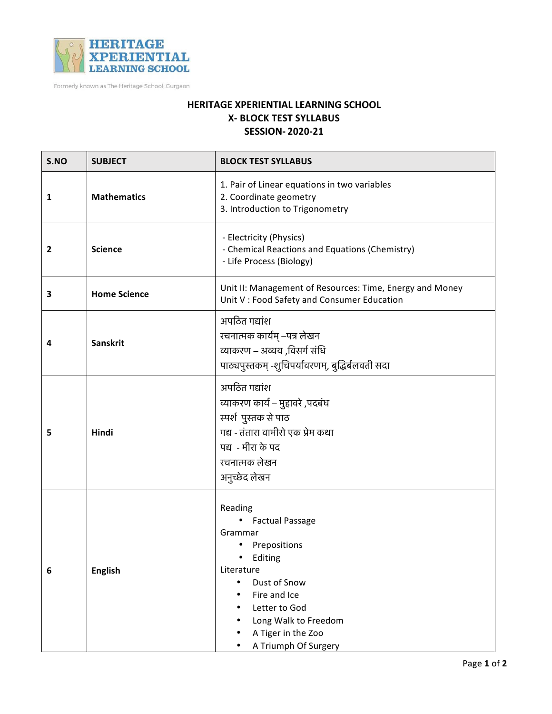

Formerly known as The Heritage School, Gurgaon

## **HERITAGE XPERIENTIAL LEARNING SCHOOL X- BLOCK TEST SYLLABUS SESSION- 2020-21**

| S.NO | <b>SUBJECT</b>      | <b>BLOCK TEST SYLLABUS</b>                                                                                                                                                                                                  |
|------|---------------------|-----------------------------------------------------------------------------------------------------------------------------------------------------------------------------------------------------------------------------|
| 1    | <b>Mathematics</b>  | 1. Pair of Linear equations in two variables<br>2. Coordinate geometry<br>3. Introduction to Trigonometry                                                                                                                   |
| 2    | <b>Science</b>      | - Electricity (Physics)<br>- Chemical Reactions and Equations (Chemistry)<br>- Life Process (Biology)                                                                                                                       |
| 3    | <b>Home Science</b> | Unit II: Management of Resources: Time, Energy and Money<br>Unit V : Food Safety and Consumer Education                                                                                                                     |
| 4    | Sanskrit            | अपठित गद्यांश<br>रचनात्मक कार्यम् –पत्र लेखन<br>व्याकरण – अव्यय ,विसर्ग संधि<br>पाठ्यपुस्तकम् -शुचिपर्यावरणम्, बुद्धिर्बलवती सदा                                                                                            |
| 5    | Hindi               | अपठित गद्यांश<br>व्याकरण कार्य – मुहावरे ,पदबंध<br>स्पर्श पुस्तक से पाठ<br>गद्य - तंतारा वामीरो एक प्रेम कथा<br>पद्य - मीरा के पद<br>रचनात्मक लेखन<br>अनुच्छेद लेखन                                                         |
| 6    | <b>English</b>      | Reading<br><b>Factual Passage</b><br>Grammar<br>• Prepositions<br>Editing<br>Literature<br>Dust of Snow<br>$\bullet$<br>Fire and Ice<br>Letter to God<br>Long Walk to Freedom<br>A Tiger in the Zoo<br>A Triumph Of Surgery |